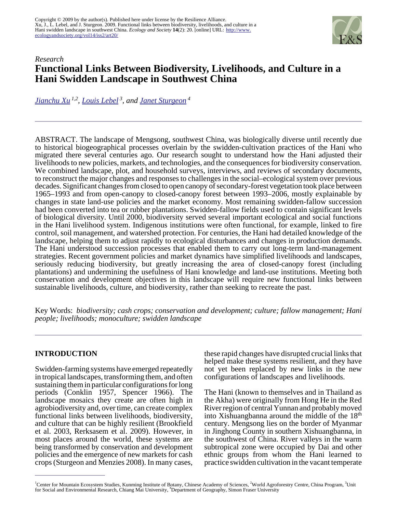

# *Research* **Functional Links Between Biodiversity, Livelihoods, and Culture in a Hani Swidden Landscape in Southwest China**

*[Jianchu Xu](mailto:J.C.Xu@CGIAR.ORG) 1,2 , [Louis Lebel](mailto:llebel@loxinfo.co.th)<sup>3</sup>, and [Janet Sturgeon](mailto:sturgeon@sfu.ca)<sup>4</sup>*

ABSTRACT. The landscape of Mengsong, southwest China, was biologically diverse until recently due to historical biogeographical processes overlain by the swidden-cultivation practices of the Hani who migrated there several centuries ago. Our research sought to understand how the Hani adjusted their livelihoods to new policies, markets, and technologies, and the consequences for biodiversity conservation. We combined landscape, plot, and household surveys, interviews, and reviews of secondary documents, to reconstruct the major changes and responses to challenges in the social–ecological system over previous decades. Significant changes from closed to open canopy of secondary-forest vegetation took place between 1965–1993 and from open-canopy to closed-canopy forest between 1993–2006, mostly explainable by changes in state land-use policies and the market economy. Most remaining swidden-fallow succession had been converted into tea or rubber plantations. Swidden-fallow fields used to contain significant levels of biological diversity. Until 2000, biodiversity served several important ecological and social functions in the Hani livelihood system. Indigenous institutions were often functional, for example, linked to fire control, soil management, and watershed protection. For centuries, the Hani had detailed knowledge of the landscape, helping them to adjust rapidly to ecological disturbances and changes in production demands. The Hani understood succession processes that enabled them to carry out long-term land-management strategies. Recent government policies and market dynamics have simplified livelihoods and landscapes, seriously reducing biodiversity, but greatly increasing the area of closed-canopy forest (including plantations) and undermining the usefulness of Hani knowledge and land-use institutions. Meeting both conservation and development objectives in this landscape will require new functional links between sustainable livelihoods, culture, and biodiversity, rather than seeking to recreate the past.

Key Words: *biodiversity; cash crops; conservation and development; culture; fallow management; Hani people; livelihoods; monoculture; swidden landscape*

### **INTRODUCTION**

Swidden-farming systems have emerged repeatedly in tropical landscapes, transforming them, and often sustaining them in particular configurations for long periods (Conklin 1957, Spencer 1966). The landscape mosaics they create are often high in agrobiodiversity and, over time, can create complex functional links between livelihoods, biodiversity, and culture that can be highly resilient (Brookfield et al. 2003, Rerksasem et al. 2009). However, in most places around the world, these systems are being transformed by conservation and development policies and the emergence of new markets for cash crops (Sturgeon and Menzies 2008). In many cases,

these rapid changes have disrupted crucial links that helped make these systems resilient, and they have not yet been replaced by new links in the new configurations of landscapes and livelihoods.

The Hani (known to themselves and in Thailand as the Akha) were originally from Hong He in the Red River region of central Yunnan and probably moved into Xishuangbanna around the middle of the 18th century. Mengsong lies on the border of Myanmar in Jinghong County in southern Xishuangbanna, in the southwest of China. River valleys in the warm subtropical zone were occupied by Dai and other ethnic groups from whom the Hani learned to practice swidden cultivation in the vacant temperate

<sup>&</sup>lt;sup>1</sup>Center for Mountain Ecosystem Studies, Kunming Institute of Botany, Chinese Academy of Sciences, <sup>2</sup>World Agroforestry Centre, China Program, <sup>3</sup>Unit for Social and Environmental Research, Chiang Mai University, "Department of Geography, Simon Fraser University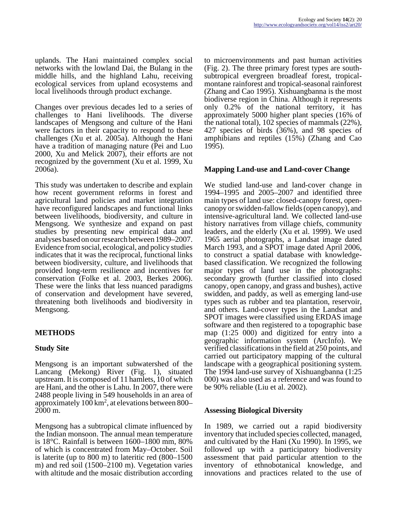uplands. The Hani maintained complex social networks with the lowland Dai, the Bulang in the middle hills, and the highland Lahu, receiving ecological services from upland ecosystems and local livelihoods through product exchange.

Changes over previous decades led to a series of challenges to Hani livelihoods. The diverse landscapes of Mengsong and culture of the Hani were factors in their capacity to respond to these challenges (Xu et al. 2005a). Although the Hani have a tradition of managing nature (Pei and Luo 2000, Xu and Melick 2007), their efforts are not recognized by the government (Xu et al. 1999, Xu 2006a).

This study was undertaken to describe and explain how recent government reforms in forest and agricultural land policies and market integration have reconfigured landscapes and functional links between livelihoods, biodiversity, and culture in Mengsong. We synthesize and expand on past studies by presenting new empirical data and analyses based on our research between 1989–2007. Evidence from social, ecological, and policy studies indicates that it was the reciprocal, functional links between biodiversity, culture, and livelihoods that provided long-term resilience and incentives for conservation (Folke et al. 2003, Berkes 2006). These were the links that less nuanced paradigms of conservation and development have severed, threatening both livelihoods and biodiversity in Mengsong.

# **METHODS**

### **Study Site**

Mengsong is an important subwatershed of the Lancang (Mekong) River (Fig. 1), situated upstream. It is composed of 11 hamlets, 10 of which are Hani, and the other is Lahu. In 2007, there were 2488 people living in 549 households in an area of approximately  $100 \text{ km}^2$ , at elevations between 800– 2000 m.

Mengsong has a subtropical climate influenced by the Indian monsoon. The annual mean temperature is 18°C. Rainfall is between 1600–1800 mm, 80% of which is concentrated from May–October. Soil is laterite (up to 800 m) to lateritic red (800–1500 m) and red soil (1500–2100 m). Vegetation varies with altitude and the mosaic distribution according

to microenvironments and past human activities (Fig. 2). The three primary forest types are southsubtropical evergreen broadleaf forest, tropicalmontane rainforest and tropical-seasonal rainforest (Zhang and Cao 1995). Xishuangbanna is the most biodiverse region in China. Although it represents only 0.2% of the national territory, it has approximately 5000 higher plant species (16% of the national total), 102 species of mammals (22%), 427 species of birds (36%), and 98 species of amphibians and reptiles (15%) (Zhang and Cao 1995).

#### **Mapping Land-use and Land-cover Change**

We studied land-use and land-cover change in 1994–1995 and 2005–2007 and identified three main types of land use: closed-canopy forest, opencanopy or swidden-fallow fields (open canopy), and intensive-agricultural land. We collected land-use history narratives from village chiefs, community leaders, and the elderly (Xu et al. 1999). We used 1965 aerial photographs, a Landsat image dated March 1993, and a SPOT image dated April 2006, to construct a spatial database with knowledgebased classification. We recognized the following major types of land use in the photographs: secondary growth (further classified into closed canopy, open canopy, and grass and bushes), active swidden, and paddy, as well as emerging land-use types such as rubber and tea plantation, reservoir, and others. Land-cover types in the Landsat and SPOT images were classified using ERDAS image software and then registered to a topographic base map (1:25 000) and digitized for entry into a geographic information system (ArcInfo). We verified classifications in the field at 250 points, and carried out participatory mapping of the cultural landscape with a geographical positioning system. The 1994 land-use survey of Xishuangbanna (1:25 000) was also used as a reference and was found to be 90% reliable (Liu et al. 2002).

#### **Assessing Biological Diversity**

In 1989, we carried out a rapid biodiversity inventory that included species collected, managed, and cultivated by the Hani (Xu 1990). In 1995, we followed up with a participatory biodiversity assessment that paid particular attention to the inventory of ethnobotanical knowledge, and innovations and practices related to the use of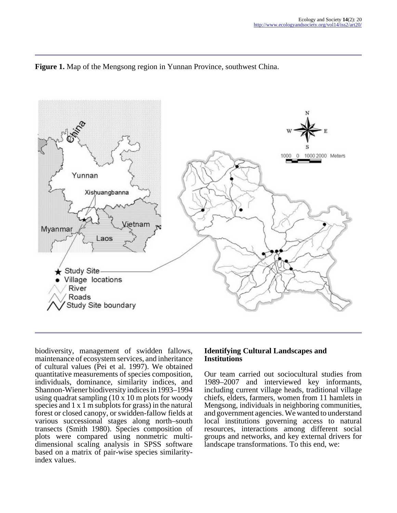



biodiversity, management of swidden fallows, maintenance of ecosystem services, and inheritance of cultural values (Pei et al. 1997). We obtained quantitative measurements of species composition, individuals, dominance, similarity indices, and Shannon-Wiener biodiversity indices in 1993–1994 using quadrat sampling (10 x 10 m plots for woody species and 1 x 1 m subplots for grass) in the natural forest or closed canopy, or swidden-fallow fields at various successional stages along north–south transects (Smith 1980). Species composition of plots were compared using nonmetric multidimensional scaling analysis in SPSS software based on a matrix of pair-wise species similarityindex values.

### **Identifying Cultural Landscapes and Institutions**

Our team carried out sociocultural studies from 1989–2007 and interviewed key informants, including current village heads, traditional village chiefs, elders, farmers, women from 11 hamlets in Mengsong, individuals in neighboring communities, and government agencies. We wanted to understand local institutions governing access to natural resources, interactions among different social groups and networks, and key external drivers for landscape transformations. To this end, we: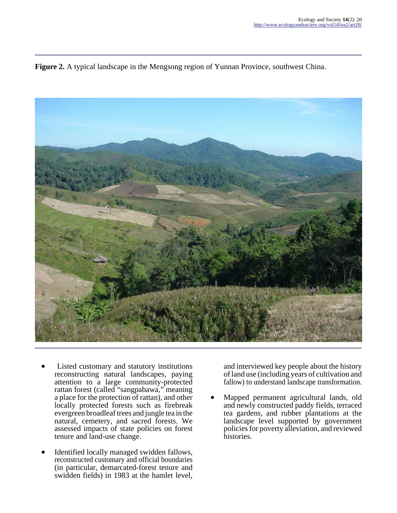**Figure 2.** A typical landscape in the Mengsong region of Yunnan Province, southwest China.



- Listed customary and statutory institutions reconstructing natural landscapes, paying attention to a large community-protected rattan forest (called "sangpabawa," meaning a place for the protection of rattan), and other locally protected forests such as firebreak evergreen broadleaf trees and jungle tea in the natural, cemetery, and sacred forests. We assessed impacts of state policies on forest tenure and land-use change.
- Identified locally managed swidden fallows, reconstructed customary and official boundaries (in particular, demarcated-forest tenure and swidden fields) in 1983 at the hamlet level,

and interviewed key people about the history of land use (including years of cultivation and fallow) to understand landscape transformation.

Mapped permanent agricultural lands, old and newly constructed paddy fields, terraced tea gardens, and rubber plantations at the landscape level supported by government policies for poverty alleviation, and reviewed histories.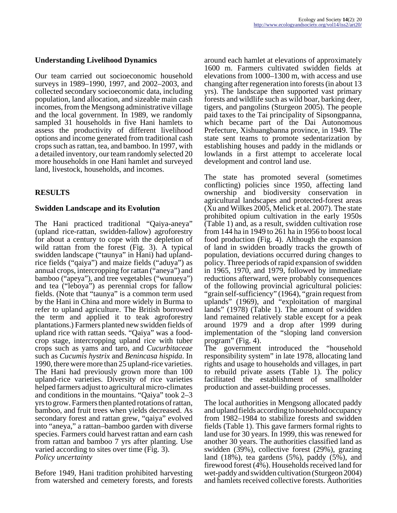#### **Understanding Livelihood Dynamics**

Our team carried out socioeconomic household surveys in 1989–1990, 1997, and 2002–2003, and collected secondary socioeconomic data, including population, land allocation, and sizeable main cash incomes, from the Mengsong administrative village and the local government. In 1989, we randomly sampled 31 households in five Hani hamlets to assess the productivity of different livelihood options and income generated from traditional cash crops such as rattan, tea, and bamboo. In 1997, with a detailed inventory, our team randomly selected 20 more households in one Hani hamlet and surveyed land, livestock, households, and incomes.

### **RESULTS**

#### **Swidden Landscape and its Evolution**

The Hani practiced traditional "Qaiya-aneya" (upland rice-rattan, swidden-fallow) agroforestry for about a century to cope with the depletion of wild rattan from the forest (Fig. 3). A typical swidden landscape ("taunya" in Hani) had uplandrice fields ("qaiya") and maize fields ("aduya") as annual crops, intercropping for rattan ("aneya") and bamboo ("apeya"), and tree vegetables ("wunueya") and tea ("leboya") as perennial crops for fallow fields. (Note that "taunya" is a common term used by the Hani in China and more widely in Burma to refer to upland agriculture. The British borrowed the term and applied it to teak agroforestry plantations.) Farmers planted new swidden fields of upland rice with rattan seeds. "Qaiya" was a foodcrop stage, intercropping upland rice with tuber crops such as yams and taro, and *Cucurbitaceae* such as *Cucumis hystrix* and *Benincasa hispida*. In 1990, there were more than 25 upland-rice varieties. The Hani had previously grown more than 100 upland-rice varieties. Diversity of rice varieties helped farmers adjust to agricultural micro-climates and conditions in the mountains. "Qaiya" took 2–3 yrs to grow. Farmers then planted rotations of rattan, bamboo, and fruit trees when yields decreased. As secondary forest and rattan grew, "qaiya" evolved into "aneya," a rattan–bamboo garden with diverse species. Farmers could harvest rattan and earn cash from rattan and bamboo 7 yrs after planting. Use varied according to sites over time (Fig. 3). *Policy uncertainty*

Before 1949, Hani tradition prohibited harvesting from watershed and cemetery forests, and forests around each hamlet at elevations of approximately 1600 m. Farmers cultivated swidden fields at elevations from 1000–1300 m, with access and use changing after regeneration into forests (in about 13 yrs). The landscape then supported vast primary forests and wildlife such as wild boar, barking deer, tigers, and pangolins (Sturgeon 2005). The people paid taxes to the Tai principality of Sipsongpanna, which became part of the Dai Autonomous Prefecture, Xishuangbanna province, in 1949. The state sent teams to promote sedentarization by establishing houses and paddy in the midlands or lowlands in a first attempt to accelerate local development and control land use.

The state has promoted several (sometimes conflicting) policies since 1950, affecting land ownership and biodiversity conservation in agricultural landscapes and protected-forest areas (Xu and Wilkes 2005, Melick et al. 2007). The state prohibited opium cultivation in the early 1950s (Table 1) and, as a result, swidden cultivation rose from 144 ha in 1949 to 261 ha in 1956 to boost local food production (Fig. 4). Although the expansion of land in swidden broadly tracks the growth of population, deviations occurred during changes to policy. Three periods of rapid expansion of swidden in 1965, 1970, and 1979, followed by immediate reductions afterward, were probably consequences of the following provincial agricultural policies: "grain self-sufficiency" (1964), "grain request from uplands" (1969), and "exploitation of marginal lands" (1978) (Table 1). The amount of swidden land remained relatively stable except for a peak around 1979 and a drop after 1999 during implementation of the "sloping land conversion program" (Fig. 4).

The government introduced the "household responsibility system" in late 1978, allocating land rights and usage to households and villages, in part to rebuild private assets (Table 1). The policy facilitated the establishment of smallholder production and asset-building processes.

The local authorities in Mengsong allocated paddy and upland fields according to household occupancy from 1982–1984 to stabilize forests and swidden fields (Table 1). This gave farmers formal rights to land use for 30 years. In 1999, this was renewed for another 30 years. The authorities classified land as swidden (39%), collective forest (29%), grazing land (18%), tea gardens (5%), paddy (5%), and firewood forest (4%). Households received land for wet-paddy and swidden cultivation (Sturgeon 2004) and hamlets received collective forests. Authorities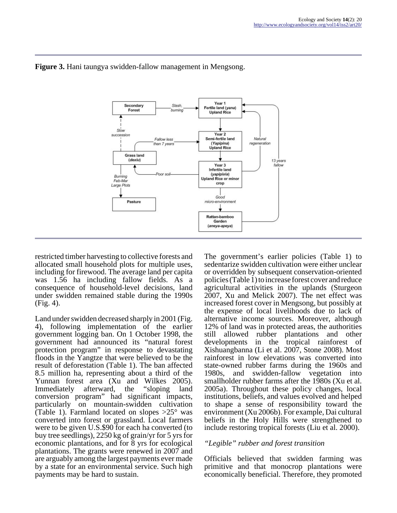

### **Figure 3.** Hani taungya swidden-fallow management in Mengsong.

restricted timber harvesting to collective forests and allocated small household plots for multiple uses, including for firewood. The average land per capita was 1.56 ha including fallow fields. As a consequence of household-level decisions, land under swidden remained stable during the 1990s (Fig. 4).

Land under swidden decreased sharply in 2001 (Fig. 4), following implementation of the earlier government logging ban. On 1 October 1998, the government had announced its "natural forest protection program" in response to devastating floods in the Yangtze that were believed to be the result of deforestation (Table 1). The ban affected 8.5 million ha, representing about a third of the Yunnan forest area (Xu and Wilkes 2005). Immediately afterward, the "sloping land conversion program" had significant impacts, particularly on mountain-swidden cultivation (Table 1). Farmland located on slopes  $>25^{\circ}$  was converted into forest or grassland. Local farmers were to be given U.S.\$90 for each ha converted (to buy tree seedlings), 2250 kg of grain/yr for 5 yrs for economic plantations, and for 8 yrs for ecological plantations. The grants were renewed in 2007 and are arguably among the largest payments ever made by a state for an environmental service. Such high payments may be hard to sustain.

The government's earlier policies (Table 1) to sedentarize swidden cultivation were either unclear or overridden by subsequent conservation-oriented policies (Table 1) to increase forest cover and reduce agricultural activities in the uplands (Sturgeon 2007, Xu and Melick 2007). The net effect was increased forest cover in Mengsong, but possibly at the expense of local livelihoods due to lack of alternative income sources. Moreover, although 12% of land was in protected areas, the authorities still allowed rubber plantations and other developments in the tropical rainforest of Xishuangbanna (Li et al. 2007, Stone 2008). Most rainforest in low elevations was converted into state-owned rubber farms during the 1960s and 1980s, and swidden-fallow vegetation into smallholder rubber farms after the 1980s (Xu et al. 2005a). Throughout these policy changes, local institutions, beliefs, and values evolved and helped to shape a sense of responsibility toward the environment (Xu 2006b). For example, Dai cultural beliefs in the Holy Hills were strengthened to include restoring tropical forests (Liu et al. 2000).

### *"Legible" rubber and forest transition*

Officials believed that swidden farming was primitive and that monocrop plantations were economically beneficial. Therefore, they promoted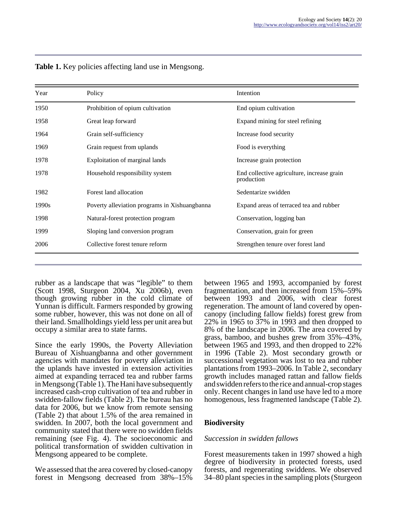| Year  | Policy                                        | Intention                                                |
|-------|-----------------------------------------------|----------------------------------------------------------|
| 1950  | Prohibition of opium cultivation              | End opium cultivation                                    |
| 1958  | Great leap forward                            | Expand mining for steel refining                         |
| 1964  | Grain self-sufficiency                        | Increase food security                                   |
| 1969  | Grain request from uplands                    | Food is everything                                       |
| 1978  | Exploitation of marginal lands                | Increase grain protection                                |
| 1978  | Household responsibility system               | End collective agriculture, increase grain<br>production |
| 1982  | Forest land allocation                        | Sedentarize swidden                                      |
| 1990s | Poverty alleviation programs in Xishuangbanna | Expand areas of terraced tea and rubber                  |
| 1998  | Natural-forest protection program             | Conservation, logging ban                                |
| 1999  | Sloping land conversion program               | Conservation, grain for green                            |
| 2006  | Collective forest tenure reform               | Strengthen tenure over forest land                       |

**Table 1.** Key policies affecting land use in Mengsong.

rubber as a landscape that was "legible" to them (Scott 1998, Sturgeon 2004, Xu 2006b), even though growing rubber in the cold climate of Yunnan is difficult. Farmers responded by growing some rubber, however, this was not done on all of their land. Smallholdings yield less per unit area but occupy a similar area to state farms.

Since the early 1990s, the Poverty Alleviation Bureau of Xishuangbanna and other government agencies with mandates for poverty alleviation in the uplands have invested in extension activities aimed at expanding terraced tea and rubber farms in Mengsong (Table 1). The Hani have subsequently increased cash-crop cultivation of tea and rubber in swidden-fallow fields (Table 2). The bureau has no data for 2006, but we know from remote sensing (Table 2) that about 1.5% of the area remained in swidden. In 2007, both the local government and community stated that there were no swidden fields remaining (see Fig. 4). The socioeconomic and political transformation of swidden cultivation in Mengsong appeared to be complete.

We assessed that the area covered by closed-canopy forest in Mengsong decreased from 38%–15% between 1965 and 1993, accompanied by forest fragmentation, and then increased from 15%–59% between 1993 and 2006, with clear forest regeneration. The amount of land covered by opencanopy (including fallow fields) forest grew from 22% in 1965 to 37% in 1993 and then dropped to 8% of the landscape in 2006. The area covered by grass, bamboo, and bushes grew from 35%–43%, between 1965 and 1993, and then dropped to 22% in 1996 (Table 2). Most secondary growth or successional vegetation was lost to tea and rubber plantations from 1993–2006. In Table 2, secondary growth includes managed rattan and fallow fields and swidden refers to the rice and annual-crop stages only. Recent changes in land use have led to a more homogenous, less fragmented landscape (Table 2).

# **Biodiversity**

### *Succession in swidden fallows*

Forest measurements taken in 1997 showed a high degree of biodiversity in protected forests, used forests, and regenerating swiddens. We observed 34–80 plant species in the sampling plots (Sturgeon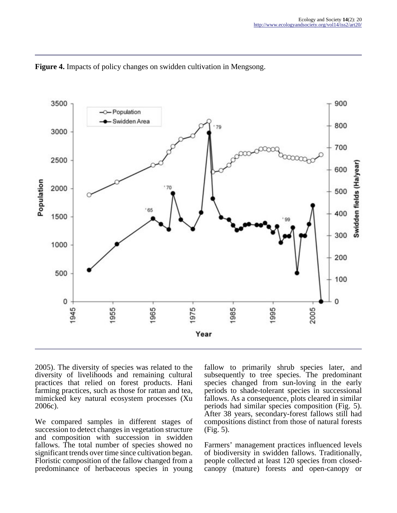

**Figure 4.** Impacts of policy changes on swidden cultivation in Mengsong.

2005). The diversity of species was related to the diversity of livelihoods and remaining cultural practices that relied on forest products. Hani farming practices, such as those for rattan and tea, mimicked key natural ecosystem processes (Xu 2006c).

We compared samples in different stages of succession to detect changes in vegetation structure and composition with succession in swidden fallows. The total number of species showed no significant trends over time since cultivation began. Floristic composition of the fallow changed from a predominance of herbaceous species in young

fallow to primarily shrub species later, and subsequently to tree species. The predominant species changed from sun-loving in the early periods to shade-tolerant species in successional fallows. As a consequence, plots cleared in similar periods had similar species composition (Fig. 5). After 38 years, secondary-forest fallows still had compositions distinct from those of natural forests  $(Fi\overline{g}, 5)$ .

Farmers' management practices influenced levels of biodiversity in swidden fallows. Traditionally, people collected at least 120 species from closedcanopy (mature) forests and open-canopy or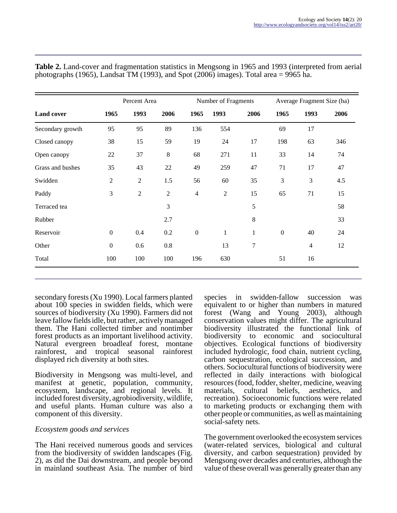|                   |                | Percent Area   |                |                  | Number of Fragments |                |                  | Average Fragment Size (ha) |      |
|-------------------|----------------|----------------|----------------|------------------|---------------------|----------------|------------------|----------------------------|------|
| <b>Land cover</b> | 1965           | 1993           | 2006           | 1965             | 1993                | 2006           | 1965             | 1993                       | 2006 |
| Secondary growth  | 95             | 95             | 89             | 136              | 554                 |                | 69               | 17                         |      |
| Closed canopy     | 38             | 15             | 59             | 19               | 24                  | 17             | 198              | 63                         | 346  |
| Open canopy       | $22\,$         | 37             | $8\,$          | 68               | 271                 | 11             | 33               | 14                         | 74   |
| Grass and bushes  | 35             | 43             | $22\,$         | 49               | 259                 | 47             | 71               | 17                         | 47   |
| Swidden           | $\overline{2}$ | $\overline{2}$ | 1.5            | 56               | 60                  | 35             | 3                | $\mathfrak{Z}$             | 4.5  |
| Paddy             | 3              | $\sqrt{2}$     | $\overline{2}$ | $\overline{4}$   | $\overline{c}$      | 15             | 65               | 71                         | 15   |
| Terraced tea      |                |                | 3              |                  |                     | 5              |                  |                            | 58   |
| Rubber            |                |                | 2.7            |                  |                     | 8              |                  |                            | 33   |
| Reservoir         | $\Omega$       | 0.4            | 0.2            | $\boldsymbol{0}$ | $\mathbf{1}$        | $\mathbf{1}$   | $\boldsymbol{0}$ | 40                         | 24   |
| Other             | $\mathbf{0}$   | 0.6            | 0.8            |                  | 13                  | $\overline{7}$ |                  | $\overline{4}$             | 12   |
| Total             | 100            | 100            | 100            | 196              | 630                 |                | 51               | 16                         |      |

**Table 2.** Land-cover and fragmentation statistics in Mengsong in 1965 and 1993 (interpreted from aerial photographs (1965), Landsat TM (1993), and Spot (2006) images). Total area  $= 9965$  ha.

secondary forests (Xu 1990). Local farmers planted about 100 species in swidden fields, which were sources of biodiversity (Xu 1990). Farmers did not leave fallow fields idle, but rather, actively managed them. The Hani collected timber and nontimber forest products as an important livelihood activity. Natural evergreen broadleaf forest, montane rainforest, and tropical seasonal rainforest displayed rich diversity at both sites.

Biodiversity in Mengsong was multi-level, and manifest at genetic, population, community, ecosystem, landscape, and regional levels. It included forest diversity, agrobiodiversity, wildlife, and useful plants. Human culture was also a component of this diversity.

### *Ecosystem goods and services*

The Hani received numerous goods and services from the biodiversity of swidden landscapes (Fig. 2), as did the Dai downstream, and people beyond in mainland southeast Asia. The number of bird species in swidden-fallow succession was equivalent to or higher than numbers in matured forest (Wang and Young 2003), although conservation values might differ. The agricultural biodiversity illustrated the functional link of biodiversity to economic and sociocultural objectives. Ecological functions of biodiversity included hydrologic, food chain, nutrient cycling, carbon sequestration, ecological succession, and others. Sociocultural functions of biodiversity were reflected in daily interactions with biological resources (food, fodder, shelter, medicine, weaving cultural beliefs, aesthetics, and recreation). Socioeconomic functions were related to marketing products or exchanging them with other people or communities, as well as maintaining social-safety nets.

The government overlooked the ecosystem services (water-related services, biological and cultural diversity, and carbon sequestration) provided by Mengsong over decades and centuries, although the value of these overall was generally greater than any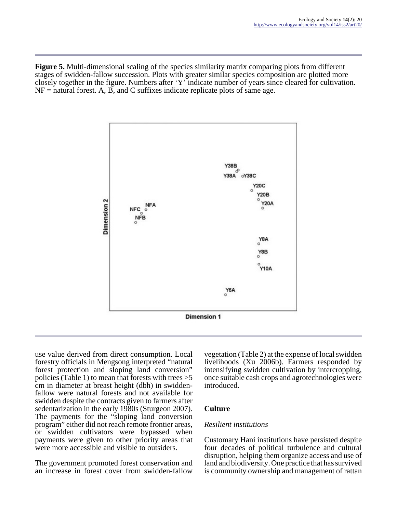**Figure 5.** Multi-dimensional scaling of the species similarity matrix comparing plots from different stages of swidden-fallow succession. Plots with greater similar species composition are plotted more closely together in the figure. Numbers after 'Y' indicate number of years since cleared for cultivation.  $NF =$  natural forest. A, B, and C suffixes indicate replicate plots of same age.



use value derived from direct consumption. Local forestry officials in Mengsong interpreted "natural forest protection and sloping land conversion" policies (Table 1) to mean that forests with trees >5 cm in diameter at breast height (dbh) in swiddenfallow were natural forests and not available for swidden despite the contracts given to farmers after sedentarization in the early 1980s (Sturgeon 2007). The payments for the "sloping land conversion program" either did not reach remote frontier areas, or swidden cultivators were bypassed when payments were given to other priority areas that were more accessible and visible to outsiders.

The government promoted forest conservation and an increase in forest cover from swidden-fallow

vegetation (Table 2) at the expense of local swidden livelihoods (Xu 2006b). Farmers responded by intensifying swidden cultivation by intercropping, once suitable cash crops and agrotechnologies were introduced.

### **Culture**

### *Resilient institutions*

Customary Hani institutions have persisted despite four decades of political turbulence and cultural disruption, helping them organize access and use of land and biodiversity. One practice that has survived is community ownership and management of rattan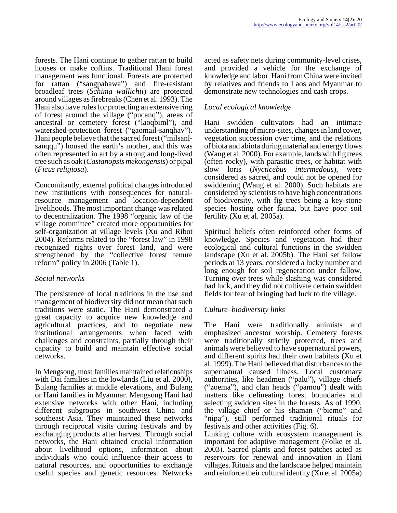forests. The Hani continue to gather rattan to build houses or make coffins. Traditional Hani forest management was functional. Forests are protected for rattan ("sangpabawa") and fire-resistant broadleaf trees (*Schima wallichii*) are protected around villages as firebreaks (Chen et al. 1993). The Hani also have rules for protecting an extensive ring of forest around the village ("pucanq"), areas of ancestral or cemetery forest ("laoqbiml"), and watershed-protection forest ("gaomail-sanqhav"). Hani people believe that the sacred forest ("milsanlsanqqu") housed the earth's mother, and this was often represented in art by a strong and long-lived tree such as oak (*Castanopsis mekongensis*) or pipal (*Ficus religiosa*).

Concomitantly, external political changes introduced new institutions with consequences for naturalresource management and location-dependent livelihoods. The most important change was related to decentralization. The 1998 "organic law of the village committee" created more opportunities for self-organization at village levels (Xu and Ribot 2004). Reforms related to the "forest law" in 1998 recognized rights over forest land, and were strengthened by the "collective forest tenure reform" policy in 2006 (Table 1).

### *Social networks*

The persistence of local traditions in the use and management of biodiversity did not mean that such traditions were static. The Hani demonstrated a great capacity to acquire new knowledge and agricultural practices, and to negotiate new institutional arrangements when faced with challenges and constraints, partially through their capacity to build and maintain effective social networks.

In Mengsong, most families maintained relationships with Dai families in the lowlands (Liu et al. 2000), Bulang families at middle elevations, and Bulang or Hani families in Myanmar. Mengsong Hani had extensive networks with other Hani, including different subgroups in southwest China and southeast Asia. They maintained these networks through reciprocal visits during festivals and by exchanging products after harvest. Through social networks, the Hani obtained crucial information about livelihood options, information about individuals who could influence their access to natural resources, and opportunities to exchange useful species and genetic resources. Networks

acted as safety nets during community-level crises, and provided a vehicle for the exchange of knowledge and labor. Hani from China were invited by relatives and friends to Laos and Myanmar to demonstrate new technologies and cash crops.

### *Local ecological knowledge*

Hani swidden cultivators had an intimate understanding of micro-sites, changes in land cover, vegetation succession over time, and the relations of biota and abiota during material and energy flows (Wang et al. 2000). For example, lands with fig trees (often rocky), with parasitic trees, or habitat with slow loris (*Nycticebus intermedous*), were considered as sacred, and could not be opened for swiddening (Wang et al. 2000). Such habitats are considered by scientists to have high concentrations of biodiversity, with fig trees being a key-stone species hosting other fauna, but have poor soil fertility (Xu et al. 2005a).

Spiritual beliefs often reinforced other forms of knowledge. Species and vegetation had their ecological and cultural functions in the swidden landscape (Xu et al. 2005b). The Hani set fallow periods at 13 years, considered a lucky number and long enough for soil regeneration under fallow. Turning over trees while slashing was considered bad luck, and they did not cultivate certain swidden fields for fear of bringing bad luck to the village.

### *Culture–biodiversity links*

The Hani were traditionally animists and emphasized ancestor worship. Cemetery forests were traditionally strictly protected, trees and animals were believed to have supernatural powers, and different spirits had their own habitats (Xu et al. 1999). The Hani believed that disturbances to the supernatural caused illness. Local customary authorities, like headmen ("palu"), village chiefs ("zoema"), and clan heads ("pamou") dealt with matters like delineating forest boundaries and selecting swidden sites in the forests. As of 1990, the village chief or his shaman ("biemo" and "nipa"), still performed traditional rituals for festivals and other activities (Fig. 6).

Linking culture with ecosystem management is important for adaptive management (Folke et al. 2003). Sacred plants and forest patches acted as reservoirs for renewal and innovation in Hani villages. Rituals and the landscape helped maintain and reinforce their cultural identity (Xu et al. 2005a)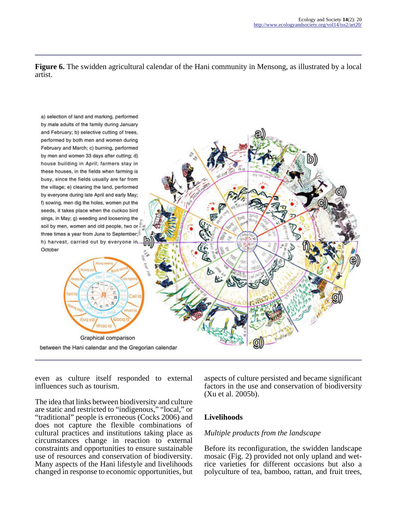**Figure 6.** The swidden agricultural calendar of the Hani community in Mensong, as illustrated by a local artist.



even as culture itself responded to external influences such as tourism.

The idea that links between biodiversity and culture are static and restricted to "indigenous," "local," or "traditional" people is erroneous (Cocks 2006) and does not capture the flexible combinations of cultural practices and institutions taking place as circumstances change in reaction to external constraints and opportunities to ensure sustainable use of resources and conservation of biodiversity. Many aspects of the Hani lifestyle and livelihoods changed in response to economic opportunities, but

aspects of culture persisted and became significant factors in the use and conservation of biodiversity (Xu et al. 2005b).

### **Livelihoods**

### *Multiple products from the landscape*

Before its reconfiguration, the swidden landscape mosaic (Fig. 2) provided not only upland and wetrice varieties for different occasions but also a polyculture of tea, bamboo, rattan, and fruit trees,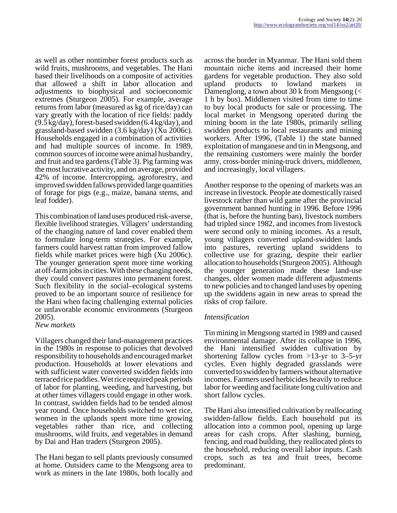as well as other nontimber forest products such as wild fruits, mushrooms, and vegetables. The Hani based their livelihoods on a composite of activities that allowed a shift in labor allocation and adjustments to biophysical and socioeconomic extremes (Sturgeon 2005). For example, average returns from labor (measured as kg of rice/day) can vary greatly with the location of rice fields: paddy (9.5 kg/day), forest-based swidden (6.4 kg/day), and grassland-based swidden (3.6 kg/day) (Xu 2006c). Households engaged in a combination of activities and had multiple sources of income. In 1989, common sources of income were animal husbandry, and fruit and tea gardens (Table 3). Pig farming was the most lucrative activity, and on average, provided 42% of income. Intercropping, agroforestry, and improved swidden fallows provided large quantities of forage for pigs (e.g., maize, banana stems, and leaf fodder).

This combination of land uses produced risk-averse, flexible livelihood strategies. Villagers' understanding of the changing nature of land cover enabled them to formulate long-term strategies. For example, farmers could harvest rattan from improved fallow fields while market prices were high (Xu 2006c). The younger generation spent more time working at off-farm jobs in cities. With these changing needs, they could convert pastures into permanent forest. Such flexibility in the social–ecological systems proved to be an important source of resilience for the Hani when facing challenging external policies or unfavorable economic environments (Sturgeon 2005).

#### *New markets*

Villagers changed their land-management practices in the 1980s in response to policies that devolved responsibility to households and encouraged market production. Households at lower elevations and with sufficient water converted swidden fields into terraced rice paddies. Wet rice required peak periods of labor for planting, weeding, and harvesting, but at other times villagers could engage in other work. In contrast, swidden fields had to be tended almost year round. Once households switched to wet rice, women in the uplands spent more time growing vegetables rather than rice, and collecting mushrooms, wild fruits, and vegetables in demand by Dai and Han traders (Sturgeon 2005).

The Hani began to sell plants previously consumed at home. Outsiders came to the Mengsong area to work as miners in the late 1980s, both locally and

across the border in Myanmar. The Hani sold them mountain niche items and increased their home gardens for vegetable production. They also sold upland products to lowland markets in Damenglong, a town about 30 k from Mengsong (< 1 h by bus). Middlemen visited from time to time to buy local products for sale or processing. The local market in Mengsong operated during the mining boom in the late 1980s, primarily selling swidden products to local restaurants and mining workers. After 1996, (Table 1) the state banned exploitation of manganese and tin in Mengsong, and the remaining customers were mainly the border army, cross-border mining-truck drivers, middlemen, and increasingly, local villagers.

Another response to the opening of markets was an increase in livestock. People ate domestically raised livestock rather than wild game after the provincial government banned hunting in 1996. Before 1996 (that is, before the hunting ban), livestock numbers had tripled since 1982, and incomes from livestock were second only to mining incomes. As a result, young villagers converted upland-swidden lands into pastures, reverting upland swiddens to collective use for grazing, despite their earlier allocation to households (Sturgeon 2005). Although the younger generation made these land-use changes, older women made different adjustments to new policies and to changed land uses by opening up the swiddens again in new areas to spread the risks of crop failure.

### *Intensification*

Tin mining in Mengsong started in 1989 and caused environmental damage. After its collapse in 1996, the Hani intensified swidden cultivation by shortening fallow cycles from >13-yr to 3–5-yr cycles. Even highly degraded grasslands were converted to swidden by farmers without alternative incomes. Farmers used herbicides heavily to reduce labor for weeding and facilitate long cultivation and short fallow cycles.

The Hani also intensified cultivation by reallocating swidden-fallow fields. Each household put its allocation into a common pool, opening up large areas for cash crops. After slashing, burning, fencing, and road building, they reallocated plots to the household, reducing overall labor inputs. Cash crops, such as tea and fruit trees, become predominant.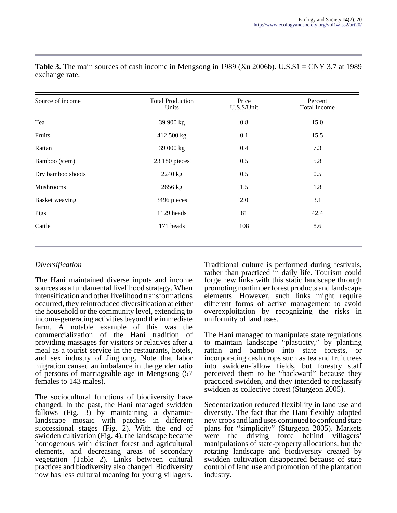| Source of income      | <b>Total Production</b><br>Units | Price<br>U.S.\$/Unit | Percent<br>Total Income |  |
|-----------------------|----------------------------------|----------------------|-------------------------|--|
| Tea                   | 39 900 kg                        | 0.8                  | 15.0                    |  |
| Fruits                | 412 500 kg                       | 0.1                  | 15.5                    |  |
| Rattan                | 39 000 kg                        | 0.4                  | 7.3                     |  |
| Bamboo (stem)         | 23 180 pieces                    | 0.5                  | 5.8                     |  |
| Dry bamboo shoots     | 2240 kg                          | 0.5                  | 0.5                     |  |
| <b>Mushrooms</b>      | 2656 kg                          | 1.5                  | 1.8                     |  |
| <b>Basket</b> weaving | 3496 pieces                      | 2.0                  | 3.1                     |  |
| Pigs                  | 1129 heads                       | 81                   | 42.4                    |  |
| Cattle                | 171 heads                        | 108                  | 8.6                     |  |

**Table 3.** The main sources of cash income in Mengsong in 1989 (Xu 2006b). U.S.\$1 = CNY 3.7 at 1989 exchange rate.

# *Diversification*

The Hani maintained diverse inputs and income sources as a fundamental livelihood strategy. When intensification and other livelihood transformations occurred, they reintroduced diversification at either the household or the community level, extending to income-generating activities beyond the immediate farm. A notable example of this was the commercialization of the Hani tradition of providing massages for visitors or relatives after a meal as a tourist service in the restaurants, hotels, and sex industry of Jinghong. Note that labor migration caused an imbalance in the gender ratio of persons of marriageable age in Mengsong (57 females to 143 males).

The sociocultural functions of biodiversity have changed. In the past, the Hani managed swidden fallows (Fig. 3) by maintaining a dynamiclandscape mosaic with patches in different successional stages (Fig.  $2$ ). With the end of swidden cultivation (Fig. 4), the landscape became homogenous with distinct forest and agricultural elements, and decreasing areas of secondary vegetation (Table 2). Links between cultural practices and biodiversity also changed. Biodiversity now has less cultural meaning for young villagers.

Traditional culture is performed during festivals, rather than practiced in daily life. Tourism could forge new links with this static landscape through promoting nontimber forest products and landscape elements. However, such links might require different forms of active management to avoid overexploitation by recognizing the risks in uniformity of land uses.

The Hani managed to manipulate state regulations to maintain landscape "plasticity," by planting rattan and bamboo into state forests, or incorporating cash crops such as tea and fruit trees into swidden-fallow fields, but forestry staff perceived them to be "backward" because they practiced swidden, and they intended to reclassify swidden as collective forest (Sturgeon 2005).

Sedentarization reduced flexibility in land use and diversity. The fact that the Hani flexibly adopted new crops and land uses continued to confound state plans for "simplicity" (Sturgeon 2005). Markets were the driving force behind villagers' manipulations of state-property allocations, but the rotating landscape and biodiversity created by swidden cultivation disappeared because of state control of land use and promotion of the plantation industry.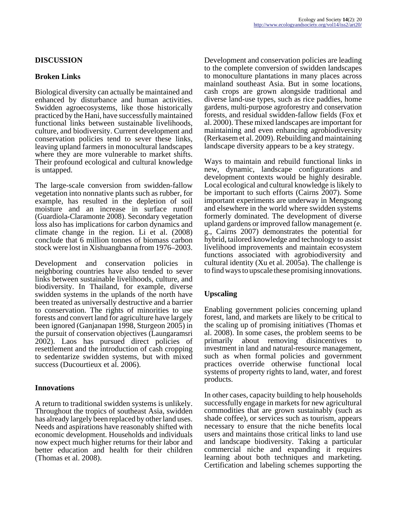# **DISCUSSION**

### **Broken Links**

Biological diversity can actually be maintained and enhanced by disturbance and human activities. Swidden agroecosystems, like those historically practiced by the Hani, have successfully maintained functional links between sustainable livelihoods, culture, and biodiversity. Current development and conservation policies tend to sever these links, leaving upland farmers in monocultural landscapes where they are more vulnerable to market shifts. Their profound ecological and cultural knowledge is untapped.

The large-scale conversion from swidden-fallow vegetation into nonnative plants such as rubber, for example, has resulted in the depletion of soil moisture and an increase in surface runoff (Guardiola-Claramonte 2008). Secondary vegetation loss also has implications for carbon dynamics and climate change in the region. Li et al. (2008) conclude that 6 million tonnes of biomass carbon stock were lost in Xishuangbanna from 1976–2003.

Development and conservation policies in neighboring countries have also tended to sever links between sustainable livelihoods, culture, and biodiversity. In Thailand, for example, diverse swidden systems in the uplands of the north have been treated as universally destructive and a barrier to conservation. The rights of minorities to use forests and convert land for agriculture have largely been ignored (Ganjanapan 1998, Sturgeon 2005) in the pursuit of conservation objectives (Laungaramsri 2002). Laos has pursued direct policies of resettlement and the introduction of cash cropping to sedentarize swidden systems, but with mixed success (Ducourtieux et al. 2006).

### **Innovations**

A return to traditional swidden systems is unlikely. Throughout the tropics of southeast Asia, swidden has already largely been replaced by other land uses. Needs and aspirations have reasonably shifted with economic development. Households and individuals now expect much higher returns for their labor and better education and health for their children (Thomas et al. 2008).

Development and conservation policies are leading to the complete conversion of swidden landscapes to monoculture plantations in many places across mainland southeast Asia. But in some locations, cash crops are grown alongside traditional and diverse land-use types, such as rice paddies, home gardens, multi-purpose agroforestry and conservation forests, and residual swidden-fallow fields (Fox et al. 2000). These mixed landscapes are important for maintaining and even enhancing agrobiodiversity (Rerkasem et al. 2009). Rebuilding and maintaining landscape diversity appears to be a key strategy.

Ways to maintain and rebuild functional links in new, dynamic, landscape configurations and development contexts would be highly desirable. Local ecological and cultural knowledge is likely to be important to such efforts (Cairns 2007). Some important experiments are underway in Mengsong and elsewhere in the world where swidden systems formerly dominated. The development of diverse upland gardens or improved fallow management (e. g., Cairns 2007) demonstrates the potential for hybrid, tailored knowledge and technology to assist livelihood improvements and maintain ecosystem functions associated with agrobiodiversity and cultural identity (Xu et al. 2005a). The challenge is to find ways to upscale these promising innovations.

# **Upscaling**

Enabling government policies concerning upland forest, land, and markets are likely to be critical to the scaling up of promising initiatives (Thomas et al. 2008). In some cases, the problem seems to be primarily about removing disincentives to investment in land and natural-resource management, such as when formal policies and government practices override otherwise functional local systems of property rights to land, water, and forest products.

In other cases, capacity building to help households successfully engage in markets for new agricultural commodities that are grown sustainably (such as shade coffee), or services such as tourism, appears necessary to ensure that the niche benefits local users and maintains those critical links to land use and landscape biodiversity. Taking a particular commercial niche and expanding it requires learning about both techniques and marketing. Certification and labeling schemes supporting the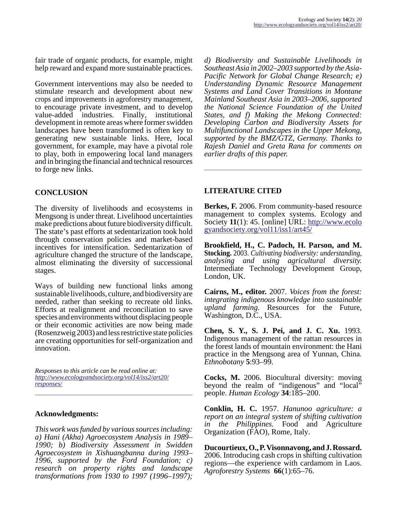fair trade of organic products, for example, might help reward and expand more sustainable practices.

Government interventions may also be needed to stimulate research and development about new crops and improvements in agroforestry management, to encourage private investment, and to develop value-added industries. Finally, institutional development in remote areas where former swidden landscapes have been transformed is often key to generating new sustainable links. Here, local government, for example, may have a pivotal role to play, both in empowering local land managers and in bringing the financial and technical resources to forge new links.

### **CONCLUSION**

The diversity of livelihoods and ecosystems in Mengsong is under threat. Livelihood uncertainties make predictions about future biodiversity difficult. The state's past efforts at sedentarization took hold through conservation policies and market-based incentives for intensification. Sedentarization of agriculture changed the structure of the landscape, almost eliminating the diversity of successional stages.

Ways of building new functional links among sustainable livelihoods, culture, and biodiversity are needed, rather than seeking to recreate old links. Efforts at realignment and reconciliation to save species and environments without displacing people or their economic activities are now being made (Rosenzweig 2003) and less restrictive state policies are creating opportunities for self-organization and innovation.

*Responses to this article can be read online at: [http://www](http://www.ecologyandsociety.org/vol14/iss2/art20/responses/).ecologyandsociety.org/vol14/iss2/art20/ responses/*

#### **Acknowledgments:**

*This work was funded by various sources including: a) Hani (Akha) Agroecosystem Analysis in 1989– 1990; b) Biodiversity Assessment in Swidden Agroecosystem in Xishuangbanna during 1993– 1996, supported by the Ford Foundation; c) research on property rights and landscape transformations from 1930 to 1997 (1996–1997);*

*d) Biodiversity and Sustainable Livelihoods in Southeast Asia in 2002–2003 supported by the Asia-Pacific Network for Global Change Research; e) Understanding Dynamic Resource Management Systems and Land Cover Transitions in Montane Mainland Southeast Asia in 2003–2006, supported the National Science Foundation of the United States, and f) Making the Mekong Connected: Developing Carbon and Biodiversity Assets for Multifunctional Landscapes in the Upper Mekong, supported by the BMZ/GTZ, Germany. Thanks to Rajesh Daniel and Greta Rana for comments on earlier drafts of this paper.*

### **LITERATURE CITED**

**Berkes, F.** 2006. From community-based resource management to complex systems. Ecology and Society **11**(1): 45. [online] URL: [http://www.ecolo](http://www.ecologyandsociety.org/vol11/iss1/art45/) [gyandsociety.org/vol11/iss1/art45/](http://www.ecologyandsociety.org/vol11/iss1/art45/)

**Brookfield, H., C. Padoch, H. Parson, and M. Stocking.** 2003. *Cultivating biodiversity: understanding, analysing and using agricultural diversity.* Intermediate Technology Development Group, London, UK.

**Cairns, M., editor.** 2007. *Voices from the forest: integrating indigenous knowledge into sustainable upland farming.* Resources for the Future, Washington, D.C., USA.

**Chen, S. Y., S. J. Pei, and J. C. Xu.** 1993. Indigenous management of the rattan resources in the forest lands of mountain environment: the Hani practice in the Mengsong area of Yunnan, China. *Ethnobotany* **5**:93–99.

**Cocks, M.** 2006. Biocultural diversity: moving beyond the realm of "indigenous" and "local" people. *Human Ecology* **34**:185–200.

**Conklin, H. C.** 1957. *Hanunoo agriculture: a report on an integral system of shifting cultivation in the Philippines.* Food and Agriculture Organization (FAO), Rome, Italy.

**Ducourtieux, O., P. Visonnavong, and J. Rossard.** 2006. Introducing cash crops in shifting cultivation regions—the experience with cardamom in Laos. *Agroforestry Systems* **66**(1):65–76.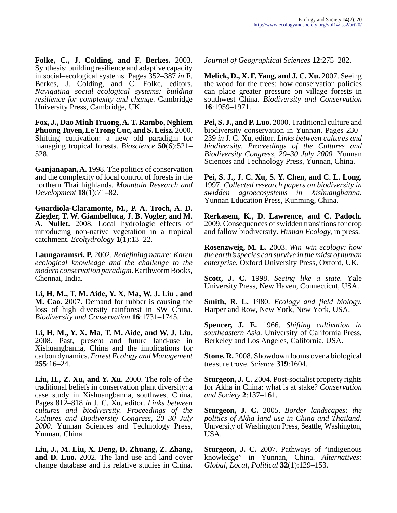**Folke, C., J. Colding, and F. Berkes.** 2003. Synthesis: building resilience and adaptive capacity in social–ecological systems. Pages 352–387 *in* F. Berkes, J. Colding, and C. Folke, editors. *Navigating social–ecological systems: building resilience for complexity and change.* Cambridge University Press, Cambridge, UK.

**Fox, J., Dao Minh Truong, A. T. Rambo, Nghiem Phuong Tuyen, Le Trong Cuc, and S. Leisz.** 2000. Shifting cultivation: a new old paradigm for managing tropical forests. *Bioscience* **50**(6):521– 528.

**Ganjanapan, A.** 1998. The politics of conservation and the complexity of local control of forests in the northern Thai highlands. *Mountain Research and Development* **18**(1):71–82.

**Guardiola-Claramonte, M., P. A. Troch, A. D. Ziegler, T. W. Giambelluca, J. B. Vogler, and M. A. Nullet.** 2008. Local hydrologic effects of introducing non-native vegetation in a tropical catchment. *Ecohydrology* **1**(1):13–22.

**Laungaramsri, P.** 2002. *Redefining nature: Karen ecological knowledge and the challenge to the modern conservation paradigm.* Earthworm Books, Chennai, India.

**Li, H. M., T. M. Aide, Y. X. Ma, W. J. Liu , and M. Cao.** 2007. Demand for rubber is causing the loss of high diversity rainforest in SW China. *Biodiversity and Conservation* **16**:1731–1745.

**Li, H. M., Y. X. Ma, T. M. Aide, and W. J. Liu.** 2008. Past, present and future land-use in Xishuangbanna, China and the implications for carbon dynamics. *Forest Ecology and Management* **255**:16–24.

**Liu, H., Z. Xu, and Y. Xu.** 2000. The role of the traditional beliefs in conservation plant diversity: a case study in Xishuangbanna, southwest China. Pages 812–818 *in* J. C. Xu, editor. *Links between cultures and biodiversity. Proceedings of the Cultures and Biodiversity Congress, 20–30 July 2000.* Yunnan Sciences and Technology Press, Yunnan, China.

**Liu, J., M. Liu, X. Deng, D. Zhuang, Z. Zhang, and D. Luo.** 2002. The land use and land cover change database and its relative studies in China.

*Journal of Geographical Sciences* **12**:275–282.

**Melick, D., X. F. Yang, and J. C. Xu.** 2007. Seeing the wood for the trees: how conservation policies can place greater pressure on village forests in southwest China. *Biodiversity and Conservation* **16**:1959–1971.

**Pei, S. J., and P. Luo.** 2000. Traditional culture and biodiversity conservation in Yunnan. Pages 230– 239 *in* J. C. Xu, editor. *Links between cultures and biodiversity. Proceedings of the Cultures and Biodiversity Congress, 20–30 July 2000.* Yunnan Sciences and Technology Press, Yunnan, China.

**Pei, S. J., J. C. Xu, S. Y. Chen, and C. L. Long.** 1997. *Collected research papers on biodiversity in swidden agroecosystems in Xishuangbanna.* Yunnan Education Press, Kunming, China.

**Rerkasem, K., D. Lawrence, and C. Padoch.** 2009. Consequences of swidden transitions for crop and fallow biodiversity. *Human Ecology,* in press.

**Rosenzweig, M. L.** 2003. *Win–win ecology: how the earth's species can survive in the midst of human enterprise.* Oxford University Press, Oxford, UK.

**Scott, J. C.** 1998. *Seeing like a state.* Yale University Press, New Haven, Connecticut, USA.

**Smith, R. L.** 1980. *Ecology and field biology.* Harper and Row, New York, New York, USA.

**Spencer, J. E.** 1966. *Shifting cultivation in southeastern Asia.* University of California Press, Berkeley and Los Angeles, California, USA.

**Stone, R.** 2008. Showdown looms over a biological treasure trove. *Science* **319**:1604.

**Sturgeon, J. C.** 2004. Post-socialist property rights for Akha in China: what is at stake? *Conservation and Society* **2**:137–161.

**Sturgeon, J. C.** 2005. *Border landscapes: the politics of Akha land use in China and Thailand.* University of Washington Press, Seattle, Washington, USA.

**Sturgeon, J. C.** 2007. Pathways of "indigenous knowledge" in Yunnan, China. *Alternatives: Global, Local, Political* **32**(1):129–153.